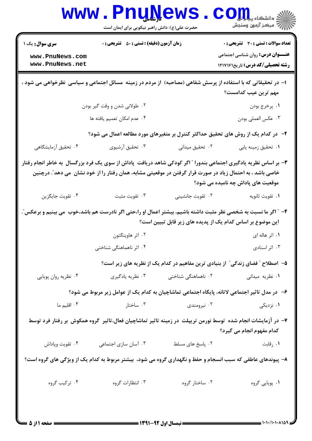|                                                                                                                                              | <b>www.PnuNews</b><br>حضرت علی(ع): دانش راهبر نیکویی برای ایمان است |                                       | $\mathbf{C}\mathbf{O}$ انشڪاه پيا جا<br>رُ⁄ مرڪز آزمون وسنڊش                                                                                                                                                                                                             |  |
|----------------------------------------------------------------------------------------------------------------------------------------------|---------------------------------------------------------------------|---------------------------------------|--------------------------------------------------------------------------------------------------------------------------------------------------------------------------------------------------------------------------------------------------------------------------|--|
| <b>سری سوال :</b> یک ۱<br>www.PnuNews.com<br>www.PnuNews.net                                                                                 | <b>زمان آزمون (دقیقه) : تستی : 50 ٪ تشریحی : 0</b>                  |                                       | <b>تعداد سوالات : تستی : 30 ٪ تشریحی : 0</b><br><b>عنـــوان درس:</b> روان شناسی اجتماعی<br><b>رشته تحصیلی/کد درس:</b> تاریخ1217161                                                                                                                                       |  |
|                                                                                                                                              |                                                                     |                                       | ۱– در تحقیقاتی که با استفاده از پرسش شفاهی (مصاحبه) از مردم در زمینه ًمسائل اجتماعی و سیاسی ۖنظرخواهی می شود ،<br>مهم ترین عیب کدامست؟                                                                                                                                   |  |
|                                                                                                                                              | ۲. طولانی شدن و وقت گیر بودن                                        |                                       | ۰۱ پرخرج بودن                                                                                                                                                                                                                                                            |  |
|                                                                                                                                              | ۰۴ عدم امکان تعمیم یافته ها                                         |                                       | ۰۳ عكس العملي بودن                                                                                                                                                                                                                                                       |  |
|                                                                                                                                              |                                                                     |                                       | ۲- در کدام یک از روش های تحقیق حداکثر کنترل بر متغیرهای مورد مطالعه اعمال می شود؟                                                                                                                                                                                        |  |
| ۰۴ تحقیق آزمایشگاهی                                                                                                                          | ۰۳ تحقیق آرشیوی                                                     | ۰۲ تحقیق میدانی                       | ٠١ تحقيق زمينه يابي                                                                                                                                                                                                                                                      |  |
|                                                                                                                                              |                                                                     |                                       | ۳- بر اساس نظریه یادگیری اجتماعی بندورا ″ اگر کودکی شاهد دریافت ۖ پاداش از سوی یک فرد بزرگسال ۖ به خاطر انجام رفتار<br>خاصی باشد ، به احتمال زیاد در صورت قرار گرفتن در موقعیتی مشابه، همان رفتار را از خود نشان  می دهد ؒ. درچنین<br>موقعیت های پاداش چه نامیده می شود؟ |  |
| ۰۴ تقویت جایگزین                                                                                                                             | ۰۳ تقويت مثبت                                                       | ۰۲ تقویت جانشینی                      | ٠١ تقويت ثانويه                                                                                                                                                                                                                                                          |  |
|                                                                                                                                              |                                                                     |                                       | ۴- ″ اگر ما نسبت به شخصی نظر مثبت داشته باشیم، بیشتر اعمال او را،حتی اگر نادرست هم باشد،خوب  می بینیم و برعکس″.<br>این موضوع بر اساس کدام یک از پدیده های زیر قابل تبیین است؟                                                                                            |  |
|                                                                                                                                              | ۰۲ اثر هاوینگتون                                                    |                                       | ۰۱ اثر هاله ای                                                                                                                                                                                                                                                           |  |
|                                                                                                                                              | ۰۴ اثر ناهماهنگی شناختی                                             |                                       | ۰۳ اثر اسنادی                                                                                                                                                                                                                                                            |  |
|                                                                                                                                              |                                                                     |                                       | ۵– اصطلاح " فضای زندگی" از بنیادی ترین مفاهیم در کدام یک از نظریه های زیر است؟                                                                                                                                                                                           |  |
| ۰۴ نظریه روان پویایی                                                                                                                         | ۰۳ نظریه یادگیری                                                    | ۰۲ ناهماهنگی شناختی                   | ٠١ نظريه ميداني                                                                                                                                                                                                                                                          |  |
|                                                                                                                                              |                                                                     |                                       | ۶– در مدل تاثیر اجتماعی لاتانه، پایگاه اجتماعی تماشاچیان به کدام یک از عوامل زیر مربوط می شود؟                                                                                                                                                                           |  |
| ۰۴ اقلیم ما                                                                                                                                  | ۰۳ ساختار                                                           | ۰۲ نیرومندی                           | ۰۱ نزدیکی                                                                                                                                                                                                                                                                |  |
| ۷– در آزمایشات انجام شده  توسط نورمن تریپلت  در زمینه تاثیر تماشاچیان فعال،تاثیر  گروه همکوش  بر رفتار فرد توسط<br>کدام مفهوم انجام می گیرد؟ |                                                                     |                                       |                                                                                                                                                                                                                                                                          |  |
| ۰۴ تقويت وپاداش                                                                                                                              | ۰۳ آسان سازی اجتماعی                                                | ٠٢ پاسخ های مسلط                      | ۰۱ رقابت                                                                                                                                                                                                                                                                 |  |
|                                                                                                                                              |                                                                     |                                       | ۸– پیوندهای عاطفی که سبب انسجام و حفظ و نگهداری گروه می شود، بیشتر مربوط به کدام یک از ویژگی های گروه است؟                                                                                                                                                               |  |
| ۰۴ ترکیب گروه                                                                                                                                | ۰۳ انتظارات گروه                                                    | ۰۲ ساختار گروه                        | ۰۱ پویایی گروه                                                                                                                                                                                                                                                           |  |
| : صفحه 1 از ∆ =                                                                                                                              |                                                                     | ــــــــــــــــ نيمسال اول 92-139 كـ | = 1・1・/1・1・1159                                                                                                                                                                                                                                                          |  |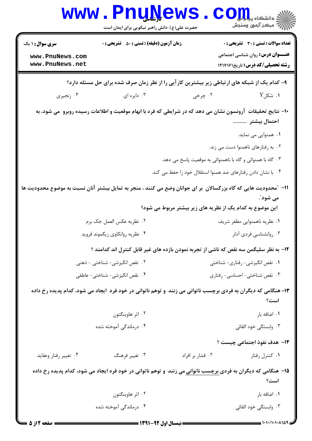| <b>WWW</b>                                                                                    | <b>FUNISAR</b><br>حضرت علی(ع): دانش راهبر نیکویی برای ایمان است | دانشکاه پی <mark>ا با بار</mark> (<br>ر آمرڪز آزمون وسنڊش                                                                                                                                  |  |  |
|-----------------------------------------------------------------------------------------------|-----------------------------------------------------------------|--------------------------------------------------------------------------------------------------------------------------------------------------------------------------------------------|--|--|
| <b>سری سوال : ۱ یک</b><br>www.PnuNews.com<br>www.PnuNews.net                                  | <b>زمان آزمون (دقیقه) : تستی : 50 ٪ تشریحی : 0</b>              | <b>تعداد سوالات : تستی : 30 ٪ تشریحی : 0</b><br><b>عنـــوان درس:</b> روان شناسی اجتماعی<br><b>رشته تحصیلی/کد درس:</b> تاریخ۱۲۱۷۱۶۱                                                         |  |  |
| ۹- کدام یک از شبکه های ارتباطی زیر بیشترین کار آیی را از نظر زمان صرف شده برای حل مسئله دارد؟ |                                                                 |                                                                                                                                                                                            |  |  |
| ۰۴ زنجیری                                                                                     | ۰۳ دایره ای                                                     | ۰۱. شکل $\rm Y$<br>۰۲ چرخی                                                                                                                                                                 |  |  |
|                                                                                               |                                                                 | ∙ا– نتایج تحقیقات آرونسون نشان می دهد که در شرایطی که فرد با ابهام موقعیت و اطلاعات رسیده روبرو  می شود، به<br>احتمال بيشتر<br>۰۱ همنوایی می نماید.                                        |  |  |
|                                                                                               |                                                                 | ۰۲ به رفتارهای ناهمنوا دست می زند.                                                                                                                                                         |  |  |
|                                                                                               |                                                                 | ۰۳ گاه با همنوائی و گاه با ناهمنوائی به موقعیت پاسخ می دهد.                                                                                                                                |  |  |
|                                                                                               |                                                                 | ۰۴ با نشان دادن رفتارهای ضد همنوا استقلال خود را حفظ می کند.                                                                                                                               |  |  |
|                                                                                               |                                                                 | 11– "محدودیت هایی که گاه بزرگسالان  بر ای جوانان وضع می کنند ، منجر به تمایل بیشتر آنان نسبت به موضوع محدودیت ها<br>می شود ؒ.<br>این موضوع به کدام یک از نظریه های زیر بیشتر مربوط می شود؟ |  |  |
|                                                                                               | ٠٢ نظريه عكس العمل جك برم                                       | ۰۱ نظریه ناهمنوایی مظفر شریف                                                                                                                                                               |  |  |
|                                                                                               | ۰۴ نظریه روانکاوی زیگموند فروید                                 | ۰۳ روانشناسی فردی آدلر                                                                                                                                                                     |  |  |
|                                                                                               |                                                                 | 1۲- به نظر سلیگمن سه نقص که ناشی از تجربه نمودن بازده های غیر قابل کنترل اند کدامند ؟                                                                                                      |  |  |
|                                                                                               | ۰۲ نقص انگیزشی- شناختی - ذهنی                                   | ٠١ نقص انگيزشي- رفتاري- شناختي                                                                                                                                                             |  |  |
|                                                                                               | ۰۴ نقص انگیزشی- شناختی- عاطفی                                   | ۰۳ نقص شناختی- احساسی- رفتاری                                                                                                                                                              |  |  |
|                                                                                               |                                                                 | ۱۳- هنگامی که دیگران به فردی برچسب ناتوانی می زنند ًو توهم ناتوانی در خود فرد ًایجاد می شود، کدام پدیده رخ داده<br>است؟                                                                    |  |  |
|                                                                                               | ۰۲ اثر هاوینگتون                                                | ٠١. اضافه بار                                                                                                                                                                              |  |  |
|                                                                                               | ۰۴ درماندگی آموخته شده                                          | ۰۳ وابستگی خود القائی                                                                                                                                                                      |  |  |
|                                                                                               |                                                                 | <b>۱۴</b> - هدف نفوذ اجتماعی چیست ؟                                                                                                                                                        |  |  |
| ۰۴ تغيير رفتار وعقايد                                                                         | ۰۳ تغییر فرهنگ                                                  | ٠١ كنترل رفتار<br>٠٢ فشار بر افراد                                                                                                                                                         |  |  |
|                                                                                               |                                                                 | ۱۵– هنگامی که دیگران به فردی <u>برچسب ناتوانی</u> می زنند  و توهم ناتوانی در خود فرد ایجاد می شود، کدام پدیده رخ داده<br>است؟                                                              |  |  |
|                                                                                               | ۰۲ اثر هاوینگتون                                                | ٠١. اضافه بار                                                                                                                                                                              |  |  |
|                                                                                               | ۰۴ درماندگی آموخته شده                                          | ۰۳ وابستگی خود القائی                                                                                                                                                                      |  |  |
|                                                                                               | $=$ 1741 $=$ 47 t.1 theori $=$                                  |                                                                                                                                                                                            |  |  |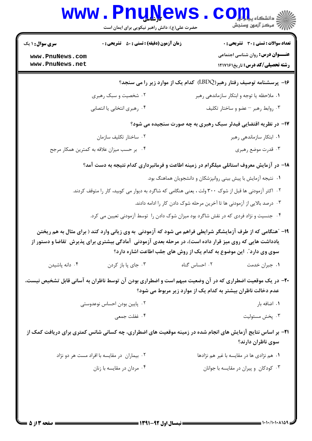|                                    | www.rnunews<br>حضرت علی(ع): دانش راهبر نیکویی برای ایمان است                                             | ی دانشکاه پی <mark>ا با بار</mark><br>أأأآ مركز آزمون وسنجش                                                                                                                        |
|------------------------------------|----------------------------------------------------------------------------------------------------------|------------------------------------------------------------------------------------------------------------------------------------------------------------------------------------|
| <b>سری سوال : ۱ یک</b>             | <b>زمان آزمون (دقیقه) : تستی : 50 ٪ تشریحی : 0</b>                                                       | تعداد سوالات : تستي : 30 ٪ تشريحي : 0                                                                                                                                              |
| www.PnuNews.com<br>www.PnuNews.net |                                                                                                          | <b>عنـــوان درس:</b> روان شناسی اجتماعی<br><b>رشته تحصیلی/کد درس:</b> تاریخ۱۲۱۷۱۶۱                                                                                                 |
|                                    |                                                                                                          | ۱۶- پرسشنامه توصیف رفتار رهبر(LBDQ)  کدام یک از موارد زیر را می سنجد؟                                                                                                              |
|                                    | ۰۲ شخصیت و سبک رهبری                                                                                     | ۰۱ ملاحظه یا توجه و ابتکار سازماندهی رهبر                                                                                                                                          |
|                                    | ۰۴ رهبری انتخابی یا انتصابی                                                                              | ۰۳ روابط رهبر – عضو و ساختار تکلیف                                                                                                                                                 |
|                                    |                                                                                                          | ۱۷- در نظریه اقتضایی فیدلر سبک رهبری به چه صورت سنجیده می شود؟                                                                                                                     |
|                                    | ۰۲ ساختار تکلیف سازمان                                                                                   | ۰۱ ابتکار سازماندهی رهبر                                                                                                                                                           |
|                                    | ۰۴ بر حسب میزان علاقه به کمترین همکار مرجح                                                               | ۰۳ قدرت موضع رهبري                                                                                                                                                                 |
|                                    |                                                                                                          | ۱۸– در آزمایش معروف استانلی میلگرام در زمینه اطاعت و فرمانبرداری کدام نتیجه به دست آمد؟                                                                                            |
|                                    |                                                                                                          | ۰۱ نتیجه آزمایش با پیش بینی روانپزشکان و دانشجویان هماهنگ بود.                                                                                                                     |
|                                    |                                                                                                          | ۰۲ اکثر آزمودنی ها قبل از شوک ۳۰۰ ولت ، یعنی هنگامی که شاگرد به دیوار می کوبید، کار را متوقف کردند.                                                                                |
|                                    |                                                                                                          | ۰۳ درصد بالایی از آزمودنی ها تا آخرین مرحله شوک دادن کار را ادامه دادند.                                                                                                           |
|                                    |                                                                                                          | ۰۴ جنسیت و نژاد فردی که در نقش شاگرد بود میزان شوک دادن را توسط آزمودنی تعیین می کرد.                                                                                              |
|                                    | یادداشت هایی که روی میز قرار داده است)، در مرحله بعدی آزمودنی آمادگی بیشتری برای پذیرش  تقاضا و دستور از | ۱۹- "هنگامی که از طرف آزمایشگر شرایطی فراهم می شود که آزمودنی به وی زیانی وارد کند ( برای مثال به هم ریختن<br>سوی وی دارد ؒ. این موضوع به کدام یک از روش های جلب اطاعت اشاره دارد؟ |
| ۰۴ دانه پاشیدن                     | ۰۳ جای پا باز کردن                                                                                       | ۰۲ احساس گناه<br>۰۱ جبران خدمت                                                                                                                                                     |
|                                    |                                                                                                          | +۲- در یک موقعیت اضطراری که در آن وضعیت مبهم است و اضطراری بودن آن توسط ناظران به آسانی قابل تشخیص نیست،<br>عدم دخالت ناظران بیشتر به کدام یک از موارد زیر مربوط می شود؟           |
|                                    | ۰۲ پایین بودن احساس نوعدوستی                                                                             | ۰۱ اضافه بار                                                                                                                                                                       |
|                                    | ۰۴ غفلت جمعي                                                                                             | ۰۳ پخش مسئوليت                                                                                                                                                                     |
|                                    |                                                                                                          | <b>۲۱</b> - بر اساس نتایج آزمایش های انجام شده در زمینه موقعیت های اضطراری، چه کسانی شانس کمتری برای دریافت کمک از<br>سوى ناظران دارند؟                                            |
|                                    | ۰۲ بیماران در مقایسه با افراد مست هر دو نژاد                                                             | ۰۱ هم نژادی ها در مقایسه با غیر هم نژادها                                                                                                                                          |
|                                    | ۰۴ مردان در مقايسه با زنان                                                                               | ۰۳ کودکان و پیران در مقایسه با جوانان                                                                                                                                              |
|                                    |                                                                                                          |                                                                                                                                                                                    |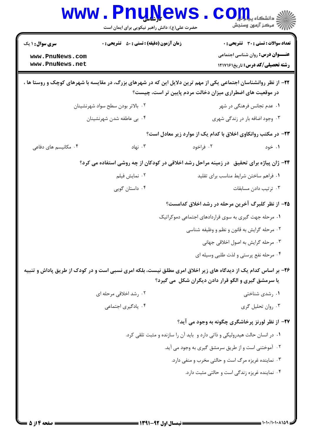| <b>WWW</b>                                                   | <b>Lunive</b> M<br>حضرت علی(ع): دانش راهبر نیکویی برای ایمان است                                                 |                                                                             | د دانشکاه پیا ب <mark>ا بار</mark> ا<br>رآ - مرڪز آزمون وسنڊش                                                                      |
|--------------------------------------------------------------|------------------------------------------------------------------------------------------------------------------|-----------------------------------------------------------------------------|------------------------------------------------------------------------------------------------------------------------------------|
| <b>سری سوال : ۱ یک</b><br>www.PnuNews.com<br>www.PnuNews.net | <b>زمان آزمون (دقیقه) : تستی : 80 ٪ تشریحی : 0</b>                                                               |                                                                             | <b>تعداد سوالات : تستی : 30 ٪ تشریحی : 0</b><br><b>عنـــوان درس:</b> روان شناسی اجتماعی<br><b>رشته تحصیلی/کد درس:</b> تاریخ1217161 |
|                                                              | ۲۲– از نظر روانشناسان اجتماعی یکی از مهم ترین دلایل این که در شهرهای بزرگ، در مقایسه با شهرهای کوچک و روستا ها ، | در موقعیت های اضطراری میزان دخالت مردم پایین تر است، چیست؟                  |                                                                                                                                    |
|                                                              | ۰۲ بالاتر بودن سطح سواد شهرنشينان                                                                                |                                                                             | ۰۱ عدم تجانس فرهنگی در شهر                                                                                                         |
|                                                              | ۴. بی عاطفه شدن شهرنشینان                                                                                        | ۰۳ وجود اضافه بار در زندگی شهری                                             |                                                                                                                                    |
|                                                              |                                                                                                                  | ۲۳- در مکتب روانکاوی اخلاق با کدام یک از موارد زیر معادل است؟               |                                                                                                                                    |
| ۰۴ مکانیسم های دفاعی                                         | ۰۳ نهاد                                                                                                          | ۰۲ فراخود                                                                   | ۰۱ خود                                                                                                                             |
|                                                              | ۲۴- ژان پیاژه برای تحقیق ً در زمینه مراحل رشد اخلاقی در کودکان از چه روشی استفاده می کرد؟                        |                                                                             |                                                                                                                                    |
|                                                              | ۰۲ نمایش فیلم                                                                                                    | ۰۱ فراهم ساختن شرايط مناسب براي تقليد                                       |                                                                                                                                    |
|                                                              | ۰۴ داستان گويي                                                                                                   |                                                                             | ۰۳ ترتیب دادن مسابقات                                                                                                              |
|                                                              |                                                                                                                  | ۲۵– از نظر کلبرگ آخرین مرحله در رشد اخلاق کدامست؟                           |                                                                                                                                    |
|                                                              |                                                                                                                  | ۰۱ مرحله جهت گیری به سوی قراردادهای اجتماعی دموکراتیک                       |                                                                                                                                    |
|                                                              |                                                                                                                  | ۰۲ مرحله گرایش به قانون و نظم و وظیفه شناسی                                 |                                                                                                                                    |
|                                                              |                                                                                                                  | ۰۳ مرحله گرایش به اصول اخلاقی جهانی                                         |                                                                                                                                    |
|                                                              |                                                                                                                  | ۰۴ مرحله نفع پرستی و لذت طلبی وسیله ای                                      |                                                                                                                                    |
|                                                              | ۲۶- بر اساس کدام یک از دیدگاه های زیر اخلاق امری مطلق نیست، بلکه امری نسبی است و در کودک از طریق پاداش و تنبیه   | یا سرمشق گیری و الگو قرار دادن دیگران شکل می گیرد؟                          |                                                                                                                                    |
|                                                              | ۰۲ رشد اخلاقی مرحله ای                                                                                           |                                                                             | ۰۱ رشدی شناختی                                                                                                                     |
|                                                              | ۰۴ يادگيري اجتماعي                                                                                               |                                                                             | ۰۳ روان تحليل گري                                                                                                                  |
|                                                              |                                                                                                                  | ۲۷- از نظر لورنز پرخاشگری چگونه به وجود می آید؟                             |                                                                                                                                    |
|                                                              |                                                                                                                  | ۰۱ در انسان حالت هیدرولیکی و ذاتی دارد و باید آن را سازنده و مثبت تلقی کرد. |                                                                                                                                    |
|                                                              |                                                                                                                  | ۰۲ آموختنی است و از طریق سرمشق گیری به وجود می آید.                         |                                                                                                                                    |
|                                                              |                                                                                                                  | ۰۳ نماینده غریزه مرگ است و حالتی مخرب و منفی دارد.                          |                                                                                                                                    |
|                                                              |                                                                                                                  | ۰۴ نماینده غریزه زندگی است و حالتی مثبت دارد.                               |                                                                                                                                    |
| صفحه ۱۴ز ۵                                                   | ۔ نیمسال اول 92-1391 =                                                                                           |                                                                             |                                                                                                                                    |